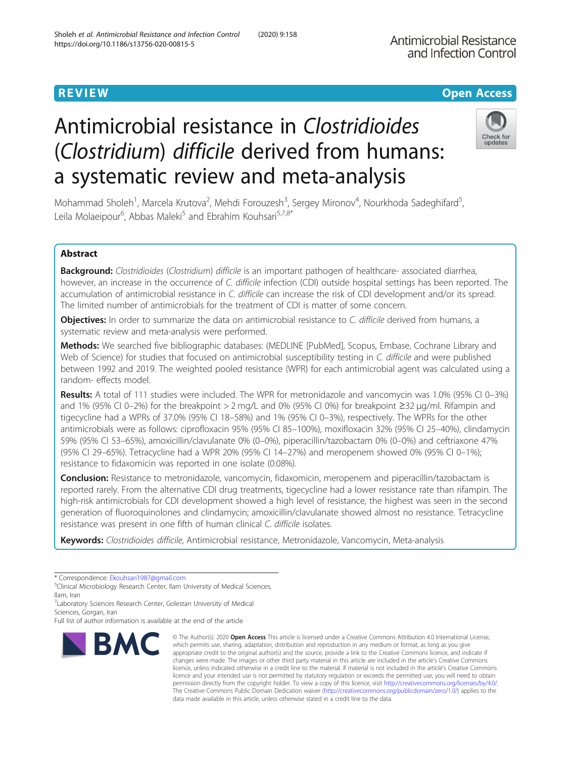# Antimicrobial resistance in Clostridioides (Clostridium) difficile derived from humans: a systematic review and meta-analysis

Mohammad Sholeh<sup>1</sup>, Marcela Krutova<sup>2</sup>, Mehdi Forouzesh<sup>3</sup>, Sergey Mironov<sup>4</sup>, Nourkhoda Sadeghifard<sup>5</sup> , Leila Molaeipour<sup>6</sup>, Abbas Maleki<sup>5</sup> and Ebrahim Kouhsari<sup>5,7,8\*</sup>

# Abstract

Background: Clostridioides (Clostridium) difficile is an important pathogen of healthcare- associated diarrhea, however, an increase in the occurrence of C. difficile infection (CDI) outside hospital settings has been reported. The accumulation of antimicrobial resistance in C. difficile can increase the risk of CDI development and/or its spread. The limited number of antimicrobials for the treatment of CDI is matter of some concern.

Objectives: In order to summarize the data on antimicrobial resistance to C. difficile derived from humans, a systematic review and meta-analysis were performed.

Methods: We searched five bibliographic databases: (MEDLINE [PubMed], Scopus, Embase, Cochrane Library and Web of Science) for studies that focused on antimicrobial susceptibility testing in C. difficile and were published between 1992 and 2019. The weighted pooled resistance (WPR) for each antimicrobial agent was calculated using a random- effects model.

Results: A total of 111 studies were included. The WPR for metronidazole and vancomycin was 1.0% (95% CI 0–3%) and 1% (95% CI 0–2%) for the breakpoint > 2 mg/L and 0% (95% CI 0%) for breakpoint ≥32 μg/ml. Rifampin and tigecycline had a WPRs of 37.0% (95% CI 18–58%) and 1% (95% CI 0–3%), respectively. The WPRs for the other antimicrobials were as follows: ciprofloxacin 95% (95% CI 85–100%), moxifloxacin 32% (95% CI 25–40%), clindamycin 59% (95% CI 53–65%), amoxicillin/clavulanate 0% (0–0%), piperacillin/tazobactam 0% (0–0%) and ceftriaxone 47% (95% CI 29–65%). Tetracycline had a WPR 20% (95% CI 14–27%) and meropenem showed 0% (95% CI 0–1%); resistance to fidaxomicin was reported in one isolate (0.08%).

Conclusion: Resistance to metronidazole, vancomycin, fidaxomicin, meropenem and piperacillin/tazobactam is reported rarely. From the alternative CDI drug treatments, tigecycline had a lower resistance rate than rifampin. The high-risk antimicrobials for CDI development showed a high level of resistance, the highest was seen in the second generation of fluoroquinolones and clindamycin; amoxicillin/clavulanate showed almost no resistance. Tetracycline resistance was present in one fifth of human clinical C. difficile isolates.

Keywords: Clostridioides difficile, Antimicrobial resistance, Metronidazole, Vancomycin, Meta-analysis

\* Correspondence: [Ekouhsari1987@gmail.com](mailto:Ekouhsari1987@gmail.com) <sup>5</sup>

<sup>5</sup>Clinical Microbiology Research Center, Ilam University of Medical Sciences, Ilam, Iran

<sup>7</sup> Laboratory Sciences Research Center, Golestan University of Medical

Full list of author information is available at the end of the article

# Sholeh et al. Antimicrobial Resistance and Infection Control (2020) 9:158 https://doi.org/10.1186/s13756-020-00815-5

which permits use, sharing, adaptation, distribution and reproduction in any medium or format, as long as you give appropriate credit to the original author(s) and the source, provide a link to the Creative Commons licence, and indicate if changes were made. The images or other third party material in this article are included in the article's Creative Commons licence, unless indicated otherwise in a credit line to the material. If material is not included in the article's Creative Commons licence and your intended use is not permitted by statutory regulation or exceeds the permitted use, you will need to obtain permission directly from the copyright holder. To view a copy of this licence, visit [http://creativecommons.org/licenses/by/4.0/.](http://creativecommons.org/licenses/by/4.0/) The Creative Commons Public Domain Dedication waiver [\(http://creativecommons.org/publicdomain/zero/1.0/](http://creativecommons.org/publicdomain/zero/1.0/)) applies to the data made available in this article, unless otherwise stated in a credit line to the data.

© The Author(s), 2020 **Open Access** This article is licensed under a Creative Commons Attribution 4.0 International License,

Sciences, Gorgan, Iran

**BMC** 





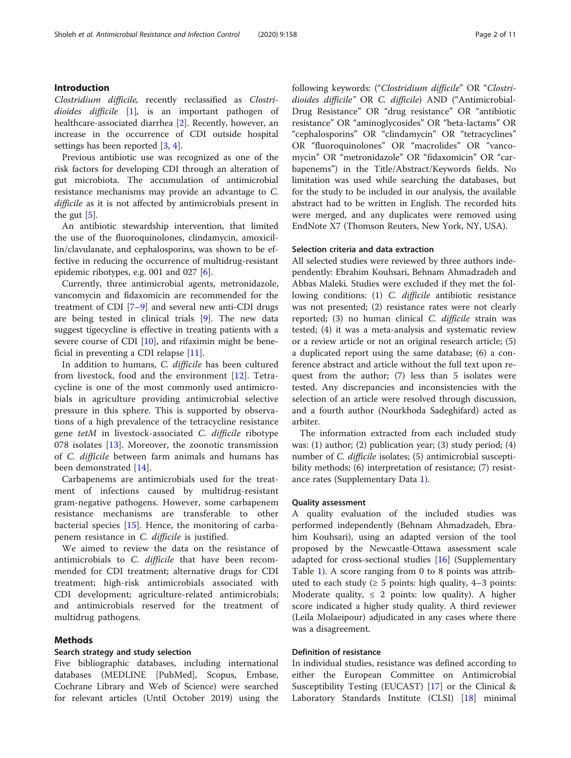# Introduction

Clostridium difficile, recently reclassified as Clostridioides difficile [[1\]](#page-7-0), is an important pathogen of healthcare-associated diarrhea [\[2\]](#page-7-0). Recently, however, an increase in the occurrence of CDI outside hospital settings has been reported [\[3](#page-7-0), [4](#page-7-0)].

Previous antibiotic use was recognized as one of the risk factors for developing CDI through an alteration of gut microbiota. The accumulation of antimicrobial resistance mechanisms may provide an advantage to C. difficile as it is not affected by antimicrobials present in the gut  $[5]$  $[5]$ .

An antibiotic stewardship intervention, that limited the use of the fluoroquinolones, clindamycin, amoxicillin/clavulanate, and cephalosporins, was shown to be effective in reducing the occurrence of multidrug-resistant epidemic ribotypes, e.g. 001 and 027 [[6\]](#page-7-0).

Currently, three antimicrobial agents, metronidazole, vancomycin and fidaxomicin are recommended for the treatment of CDI [[7](#page-7-0)–[9](#page-7-0)] and several new anti-CDI drugs are being tested in clinical trials [\[9\]](#page-7-0). The new data suggest tigecycline is effective in treating patients with a severe course of CDI [\[10](#page-7-0)], and rifaximin might be beneficial in preventing a CDI relapse [\[11](#page-7-0)].

In addition to humans, C. difficile has been cultured from livestock, food and the environment [[12\]](#page-7-0). Tetracycline is one of the most commonly used antimicrobials in agriculture providing antimicrobial selective pressure in this sphere. This is supported by observations of a high prevalence of the tetracycline resistance gene tetM in livestock-associated C. difficile ribotype 078 isolates [[13\]](#page-7-0). Moreover, the zoonotic transmission of C. difficile between farm animals and humans has been demonstrated [[14\]](#page-7-0).

Carbapenems are antimicrobials used for the treatment of infections caused by multidrug-resistant gram-negative pathogens. However, some carbapenem resistance mechanisms are transferable to other bacterial species [\[15](#page-7-0)]. Hence, the monitoring of carbapenem resistance in C. difficile is justified.

We aimed to review the data on the resistance of antimicrobials to C. difficile that have been recommended for CDI treatment; alternative drugs for CDI treatment; high-risk antimicrobials associated with CDI development; agriculture-related antimicrobials; and antimicrobials reserved for the treatment of multidrug pathogens.

#### Methods

### Search strategy and study selection

Five bibliographic databases, including international databases (MEDLINE [PubMed], Scopus, Embase, Cochrane Library and Web of Science) were searched for relevant articles (Until October 2019) using the following keywords: ("Clostridium difficile" OR "Clostridioides difficile" OR C. difficile) AND ("Antimicrobial-Drug Resistance" OR "drug resistance" OR "antibiotic resistance" OR "aminoglycosides" OR "beta-lactams" OR "cephalosporins" OR "clindamycin" OR "tetracyclines" OR "fluoroquinolones" OR "macrolides" OR "vancomycin" OR "metronidazole" OR "fidaxomicin" OR "carbapenems") in the Title/Abstract/Keywords fields. No limitation was used while searching the databases, but for the study to be included in our analysis, the available abstract had to be written in English. The recorded hits were merged, and any duplicates were removed using EndNote X7 (Thomson Reuters, New York, NY, USA).

#### Selection criteria and data extraction

All selected studies were reviewed by three authors independently: Ebrahim Kouhsari, Behnam Ahmadzadeh and Abbas Maleki. Studies were excluded if they met the following conditions: (1) C. difficile antibiotic resistance was not presented; (2) resistance rates were not clearly reported; (3) no human clinical C. difficile strain was tested; (4) it was a meta-analysis and systematic review or a review article or not an original research article; (5) a duplicated report using the same database; (6) a conference abstract and article without the full text upon request from the author; (7) less than 5 isolates were tested. Any discrepancies and inconsistencies with the selection of an article were resolved through discussion, and a fourth author (Nourkhoda Sadeghifard) acted as arbiter.

The information extracted from each included study was: (1) author; (2) publication year; (3) study period; (4) number of *C. difficile* isolates; (5) antimicrobial susceptibility methods; (6) interpretation of resistance; (7) resistance rates (Supplementary Data [1](#page-7-0)).

#### Quality assessment

A quality evaluation of the included studies was performed independently (Behnam Ahmadzadeh, Ebrahim Kouhsari), using an adapted version of the tool proposed by the Newcastle-Ottawa assessment scale adapted for cross-sectional studies [[16\]](#page-8-0) (Supplementary Table [1](#page-7-0)). A score ranging from 0 to 8 points was attributed to each study ( $\geq 5$  points: high quality, 4–3 points: Moderate quality,  $\leq 2$  points: low quality). A higher score indicated a higher study quality. A third reviewer (Leila Molaeipour) adjudicated in any cases where there was a disagreement.

# Definition of resistance

In individual studies, resistance was defined according to either the European Committee on Antimicrobial Susceptibility Testing (EUCAST) [\[17\]](#page-8-0) or the Clinical & Laboratory Standards Institute (CLSI) [\[18\]](#page-8-0) minimal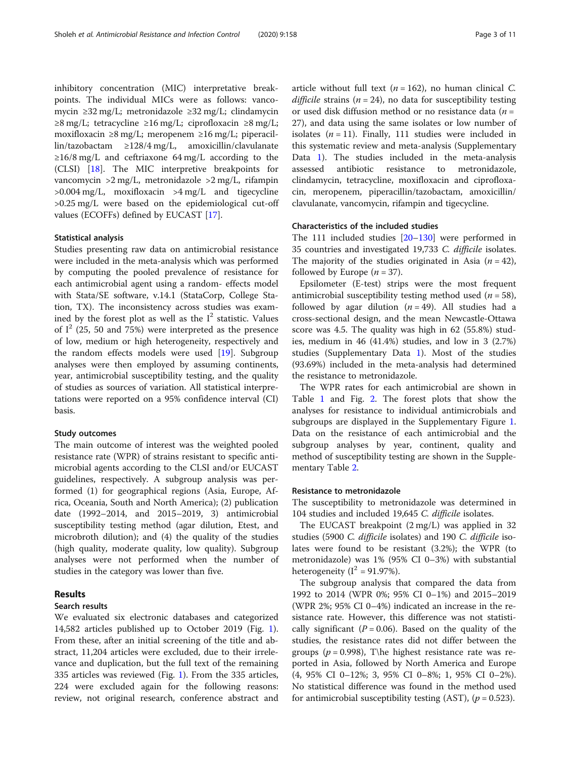inhibitory concentration (MIC) interpretative breakpoints. The individual MICs were as follows: vancomycin ≥32 mg/L; metronidazole ≥32 mg/L; clindamycin  $≥8$  mg/L; tetracycline  $≥16$  mg/L; ciprofloxacin  $≥8$  mg/L; moxifloxacin ≥8 mg/L; meropenem ≥16 mg/L; piperacillin/tazobactam ≥128/4 mg/L, amoxicillin/clavulanate ≥16/8 mg/L and ceftriaxone 64 mg/L according to the (CLSI) [\[18](#page-8-0)]. The MIC interpretive breakpoints for vancomycin >2 mg/L, metronidazole >2 mg/L, rifampin  $>0.004$  mg/L, moxifloxacin  $>4$  mg/L and tigecycline >0.25 mg/L were based on the epidemiological cut-off values (ECOFFs) defined by EUCAST [\[17\]](#page-8-0).

#### Statistical analysis

Studies presenting raw data on antimicrobial resistance were included in the meta-analysis which was performed by computing the pooled prevalence of resistance for each antimicrobial agent using a random- effects model with Stata/SE software, v.14.1 (StataCorp, College Station, TX). The inconsistency across studies was examined by the forest plot as well as the  $I<sup>2</sup>$  statistic. Values of  $I^2$  (25, 50 and 75%) were interpreted as the presence of low, medium or high heterogeneity, respectively and the random effects models were used [[19](#page-8-0)]. Subgroup analyses were then employed by assuming continents, year, antimicrobial susceptibility testing, and the quality of studies as sources of variation. All statistical interpretations were reported on a 95% confidence interval (CI) basis.

### Study outcomes

The main outcome of interest was the weighted pooled resistance rate (WPR) of strains resistant to specific antimicrobial agents according to the CLSI and/or EUCAST guidelines, respectively. A subgroup analysis was performed (1) for geographical regions (Asia, Europe, Africa, Oceania, South and North America); (2) publication date (1992–2014, and 2015–2019, 3) antimicrobial susceptibility testing method (agar dilution, Etest, and microbroth dilution); and (4) the quality of the studies (high quality, moderate quality, low quality). Subgroup analyses were not performed when the number of studies in the category was lower than five.

# Results

# Search results

We evaluated six electronic databases and categorized 14,582 articles published up to October 2019 (Fig. [1](#page-3-0)). From these, after an initial screening of the title and abstract, 11,204 articles were excluded, due to their irrelevance and duplication, but the full text of the remaining 335 articles was reviewed (Fig. [1\)](#page-3-0). From the 335 articles, 224 were excluded again for the following reasons: review, not original research, conference abstract and article without full text ( $n = 162$ ), no human clinical C. difficile strains ( $n = 24$ ), no data for susceptibility testing or used disk diffusion method or no resistance data ( $n =$ 27), and data using the same isolates or low number of isolates  $(n = 11)$ . Finally, 111 studies were included in this systematic review and meta-analysis (Supplementary Data [1\)](#page-7-0). The studies included in the meta-analysis assessed antibiotic resistance to metronidazole, clindamycin, tetracycline, moxifloxacin and ciprofloxacin, meropenem, piperacillin/tazobactam, amoxicillin/ clavulanate, vancomycin, rifampin and tigecycline.

# Characteristics of the included studies

The 111 included studies [[20](#page-8-0)–[130](#page-10-0)] were performed in 35 countries and investigated 19,733 C. difficile isolates. The majority of the studies originated in Asia  $(n = 42)$ , followed by Europe  $(n = 37)$ .

Epsilometer (E-test) strips were the most frequent antimicrobial susceptibility testing method used  $(n = 58)$ , followed by agar dilution ( $n = 49$ ). All studies had a cross-sectional design, and the mean Newcastle-Ottawa score was 4.5. The quality was high in 62 (55.8%) studies, medium in 46 (41.4%) studies, and low in 3 (2.7%) studies (Supplementary Data [1](#page-7-0)). Most of the studies (93.69%) included in the meta-analysis had determined the resistance to metronidazole.

The WPR rates for each antimicrobial are shown in Table [1](#page-3-0) and Fig. [2](#page-4-0). The forest plots that show the analyses for resistance to individual antimicrobials and subgroups are displayed in the Supplementary Figure [1](#page-7-0). Data on the resistance of each antimicrobial and the subgroup analyses by year, continent, quality and method of susceptibility testing are shown in the Supplementary Table [2](#page-7-0).

# Resistance to metronidazole

The susceptibility to metronidazole was determined in 104 studies and included 19,645 C. difficile isolates.

The EUCAST breakpoint (2 mg/L) was applied in 32 studies (5900 C. difficile isolates) and 190 C. difficile isolates were found to be resistant (3.2%); the WPR (to metronidazole) was 1% (95% CI 0–3%) with substantial heterogeneity ( $I^2$  = 91.97%).

The subgroup analysis that compared the data from 1992 to 2014 (WPR 0%; 95% CI 0–1%) and 2015–2019 (WPR 2%; 95% CI 0–4%) indicated an increase in the resistance rate. However, this difference was not statistically significant ( $P = 0.06$ ). Based on the quality of the studies, the resistance rates did not differ between the groups ( $p = 0.998$ ), T\he highest resistance rate was reported in Asia, followed by North America and Europe (4, 95% CI 0–12%; 3, 95% CI 0–8%; 1, 95% CI 0–2%). No statistical difference was found in the method used for antimicrobial susceptibility testing (AST),  $(p = 0.523)$ .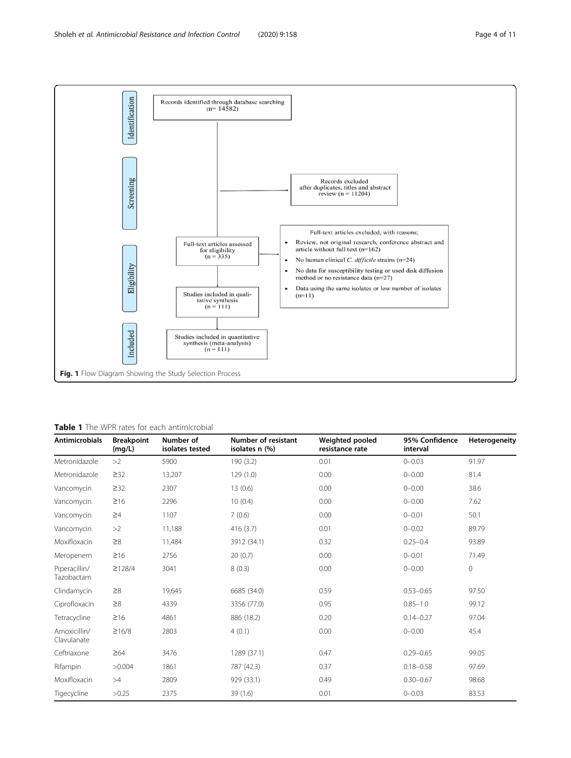<span id="page-3-0"></span>

# Table 1 The WPR rates for each antimicrobial

| <b>Antimicrobials</b>       | <b>Breakpoint</b><br>(mg/L) | Number of<br>isolates tested | <b>Number of resistant</b><br>isolates n (%) | Weighted pooled<br>resistance rate | 95% Confidence<br>interval | Heterogeneity |
|-----------------------------|-----------------------------|------------------------------|----------------------------------------------|------------------------------------|----------------------------|---------------|
| Metronidazole               | >2                          | 5900                         | 190(3.2)                                     | 0.01                               | $0 - 0.03$                 | 91.97         |
| Metronidazole               | $\geq$ 32                   | 13,207                       | 129(1.0)                                     | 0.00                               | $0 - 0.00$                 | 81.4          |
| Vancomycin                  | $\geq$ 32                   | 2307                         | 13(0.6)                                      | 0.00                               | $0 - 0.00$                 | 38.6          |
| Vancomycin                  | $\geq 16$                   | 2296                         | 10(0.4)                                      | 0.00                               | $0 - 0.00$                 | 7.62          |
| Vancomycin                  | $\geq 4$                    | 1107                         | 7(0.6)                                       | 0.00                               | $0 - 0.01$                 | 50.1          |
| Vancomycin                  | >2                          | 11,188                       | 416(3.7)                                     | 0.01                               | $0 - 0.02$                 | 89.79         |
| Moxifloxacin                | $\geq 8$                    | 11,484                       | 3912 (34.1)                                  | 0.32                               | $0.25 - 0.4$               | 93.89         |
| Meropenem                   | $\geq 16$                   | 2756                         | 20(0.7)                                      | 0.00                               | $0 - 0.01$                 | 71.49         |
| Piperacillin/<br>Tazobactam | $\geq$ 128/4                | 3041                         | 8(0.3)                                       | 0.00                               | $0 - 0.00$                 | $\circ$       |
| Clindamycin                 | $\geq 8$                    | 19,645                       | 6685 (34.0)                                  | 0.59                               | $0.53 - 0.65$              | 97.50         |
| Ciprofloxacin               | $\geq 8$                    | 4339                         | 3356 (77.0)                                  | 0.95                               | $0.85 - 1.0$               | 99.12         |
| Tetracycline                | $\geq 16$                   | 4861                         | 886 (18.2)                                   | 0.20                               | $0.14 - 0.27$              | 97.04         |
| Amoxicillin/<br>Clavulanate | $\geq 16/8$                 | 2803                         | 4(0.1)                                       | 0.00                               | $0 - 0.00$                 | 45.4          |
| Ceftriaxone                 | $\geq 64$                   | 3476                         | 1289 (37.1)                                  | 0.47                               | $0.29 - 0.65$              | 99.05         |
| Rifampin                    | >0.004                      | 1861                         | 787 (42.3)                                   | 0.37                               | $0.18 - 0.58$              | 97.69         |
| Moxifloxacin                | >4                          | 2809                         | 929 (33.1)                                   | 0.49                               | $0.30 - 0.67$              | 98.68         |
| Tigecycline                 | >0.25                       | 2375                         | 39 (1.6)                                     | 0.01                               | $0 - 0.03$                 | 83.53         |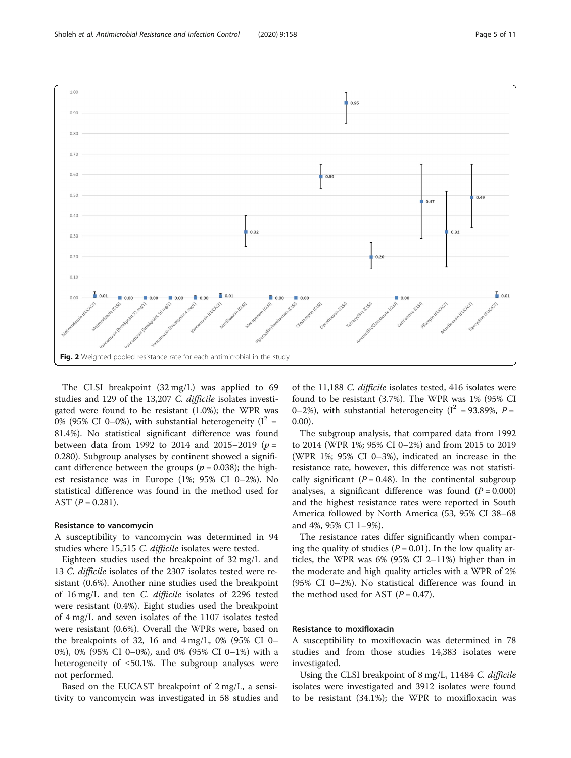<span id="page-4-0"></span>

The CLSI breakpoint (32 mg/L) was applied to 69 studies and 129 of the 13,207 C. difficile isolates investigated were found to be resistant (1.0%); the WPR was 0% (95% CI 0–0%), with substantial heterogeneity ( $I^2$  = 81.4%). No statistical significant difference was found between data from 1992 to 2014 and 2015–2019 ( $p =$ 0.280). Subgroup analyses by continent showed a significant difference between the groups ( $p = 0.038$ ); the highest resistance was in Europe (1%; 95% CI 0–2%). No statistical difference was found in the method used for AST  $(P = 0.281)$ .

#### Resistance to vancomycin

A susceptibility to vancomycin was determined in 94 studies where 15,515 C. difficile isolates were tested.

Eighteen studies used the breakpoint of 32 mg/L and 13 C. difficile isolates of the 2307 isolates tested were resistant (0.6%). Another nine studies used the breakpoint of 16 mg/L and ten C. difficile isolates of 2296 tested were resistant (0.4%). Eight studies used the breakpoint of 4 mg/L and seven isolates of the 1107 isolates tested were resistant (0.6%). Overall the WPRs were, based on the breakpoints of 32, 16 and  $4 \text{ mg/L}$ , 0% (95% CI 0– 0%), 0% (95% CI 0–0%), and 0% (95% CI 0–1%) with a heterogeneity of ≤50.1%. The subgroup analyses were not performed.

Based on the EUCAST breakpoint of 2 mg/L, a sensitivity to vancomycin was investigated in 58 studies and of the 11,188 C. difficile isolates tested, 416 isolates were found to be resistant (3.7%). The WPR was 1% (95% CI 0–2%), with substantial heterogeneity ( $I^2$  = 93.89%,  $P =$ 0.00).

The subgroup analysis, that compared data from 1992 to 2014 (WPR 1%; 95% CI 0–2%) and from 2015 to 2019 (WPR 1%; 95% CI 0–3%), indicated an increase in the resistance rate, however, this difference was not statistically significant ( $P = 0.48$ ). In the continental subgroup analyses, a significant difference was found  $(P = 0.000)$ and the highest resistance rates were reported in South America followed by North America (53, 95% CI 38–68 and 4%, 95% CI 1–9%).

The resistance rates differ significantly when comparing the quality of studies ( $P = 0.01$ ). In the low quality articles, the WPR was 6% (95% CI 2–11%) higher than in the moderate and high quality articles with a WPR of 2% (95% CI 0–2%). No statistical difference was found in the method used for AST  $(P = 0.47)$ .

#### Resistance to moxifloxacin

A susceptibility to moxifloxacin was determined in 78 studies and from those studies 14,383 isolates were investigated.

Using the CLSI breakpoint of 8 mg/L, 11484 C. difficile isolates were investigated and 3912 isolates were found to be resistant (34.1%); the WPR to moxifloxacin was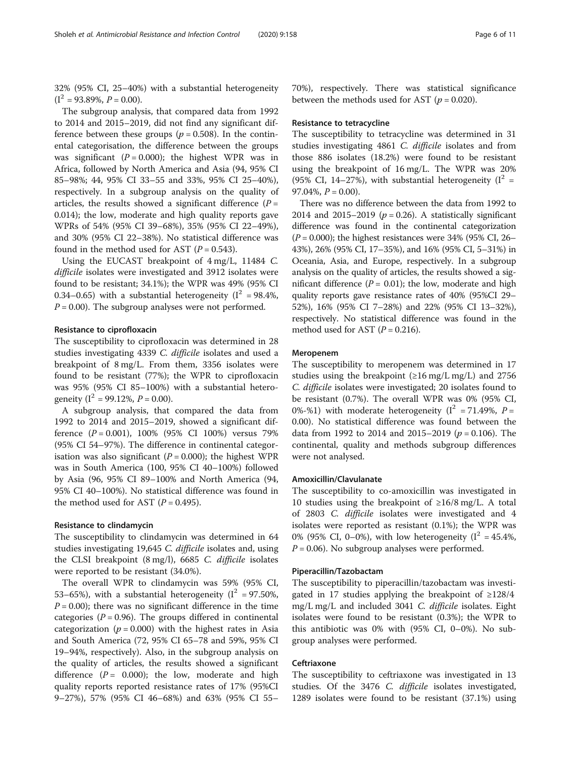32% (95% CI, 25–40%) with a substantial heterogeneity  $(I^2 = 93.89\%, P = 0.00).$ 

The subgroup analysis, that compared data from 1992 to 2014 and 2015–2019, did not find any significant difference between these groups ( $p = 0.508$ ). In the continental categorisation, the difference between the groups was significant ( $P = 0.000$ ); the highest WPR was in Africa, followed by North America and Asia (94, 95% CI 85–98%; 44, 95% CI 33–55 and 33%, 95% CI 25–40%), respectively. In a subgroup analysis on the quality of articles, the results showed a significant difference  $(P =$ 0.014); the low, moderate and high quality reports gave WPRs of 54% (95% CI 39–68%), 35% (95% CI 22–49%), and 30% (95% CI 22–38%). No statistical difference was found in the method used for AST  $(P = 0.543)$ .

Using the EUCAST breakpoint of 4 mg/L, 11484 C. difficile isolates were investigated and 3912 isolates were found to be resistant; 34.1%); the WPR was 49% (95% CI 0.34–0.65) with a substantial heterogeneity  $(I^2 = 98.4\%$ ,  $P = 0.00$ ). The subgroup analyses were not performed.

# Resistance to ciprofloxacin

The susceptibility to ciprofloxacin was determined in 28 studies investigating 4339 C. difficile isolates and used a breakpoint of 8 mg/L. From them, 3356 isolates were found to be resistant (77%); the WPR to ciprofloxacin was 95% (95% CI 85–100%) with a substantial heterogeneity ( $I^2 = 99.12\%$ ,  $P = 0.00$ ).

A subgroup analysis, that compared the data from 1992 to 2014 and 2015–2019, showed a significant difference  $(P = 0.001)$ , 100% (95% CI 100%) versus 79% (95% CI 54–97%). The difference in continental categorisation was also significant ( $P = 0.000$ ); the highest WPR was in South America (100, 95% CI 40–100%) followed by Asia (96, 95% CI 89–100% and North America (94, 95% CI 40–100%). No statistical difference was found in the method used for AST  $(P = 0.495)$ .

#### Resistance to clindamycin

The susceptibility to clindamycin was determined in 64 studies investigating 19,645 C. difficile isolates and, using the CLSI breakpoint (8 mg/l), 6685 C. difficile isolates were reported to be resistant (34.0%).

The overall WPR to clindamycin was 59% (95% CI, 53–65%), with a substantial heterogeneity ( $I^2$  = 97.50%,  $P = 0.00$ ); there was no significant difference in the time categories ( $P = 0.96$ ). The groups differed in continental categorization ( $p = 0.000$ ) with the highest rates in Asia and South America (72, 95% CI 65–78 and 59%, 95% CI 19–94%, respectively). Also, in the subgroup analysis on the quality of articles, the results showed a significant difference  $(P = 0.000)$ ; the low, moderate and high quality reports reported resistance rates of 17% (95%CI 9–27%), 57% (95% CI 46–68%) and 63% (95% CI 55–

70%), respectively. There was statistical significance between the methods used for AST ( $p = 0.020$ ).

#### Resistance to tetracycline

The susceptibility to tetracycline was determined in 31 studies investigating 4861 C. difficile isolates and from those 886 isolates (18.2%) were found to be resistant using the breakpoint of 16 mg/L. The WPR was 20% (95% CI, 14–27%), with substantial heterogeneity ( $I^2$  = 97.04%,  $P = 0.00$ ).

There was no difference between the data from 1992 to 2014 and 2015–2019 ( $p = 0.26$ ). A statistically significant difference was found in the continental categorization  $(P = 0.000)$ ; the highest resistances were 34% (95% CI, 26– 43%), 26% (95% CI, 17–35%), and 16% (95% CI, 5–31%) in Oceania, Asia, and Europe, respectively. In a subgroup analysis on the quality of articles, the results showed a significant difference ( $P = 0.01$ ); the low, moderate and high quality reports gave resistance rates of 40% (95%CI 29– 52%), 16% (95% CI 7–28%) and 22% (95% CI 13–32%), respectively. No statistical difference was found in the method used for AST ( $P = 0.216$ ).

#### Meropenem

The susceptibility to meropenem was determined in 17 studies using the breakpoint  $(\geq 16 \text{ mg/L mg/L})$  and 2756 C. difficile isolates were investigated; 20 isolates found to be resistant (0.7%). The overall WPR was 0% (95% CI, 0%-%1) with moderate heterogeneity ( $I^2 = 71.49$ %,  $P =$ 0.00). No statistical difference was found between the data from 1992 to 2014 and 2015–2019 ( $p = 0.106$ ). The continental, quality and methods subgroup differences were not analysed.

#### Amoxicillin/Clavulanate

The susceptibility to co-amoxicillin was investigated in 10 studies using the breakpoint of ≥16/8 mg/L. A total of 2803 C. difficile isolates were investigated and 4 isolates were reported as resistant (0.1%); the WPR was 0% (95% CI, 0–0%), with low heterogeneity ( $I^2 = 45.4\%$ ,  $P = 0.06$ ). No subgroup analyses were performed.

#### Piperacillin/Tazobactam

The susceptibility to piperacillin/tazobactam was investigated in 17 studies applying the breakpoint of ≥128/4 mg/L mg/L and included 3041 C. difficile isolates. Eight isolates were found to be resistant (0.3%); the WPR to this antibiotic was 0% with (95% CI, 0–0%). No subgroup analyses were performed.

#### Ceftriaxone

The susceptibility to ceftriaxone was investigated in 13 studies. Of the 3476 C. difficile isolates investigated, 1289 isolates were found to be resistant (37.1%) using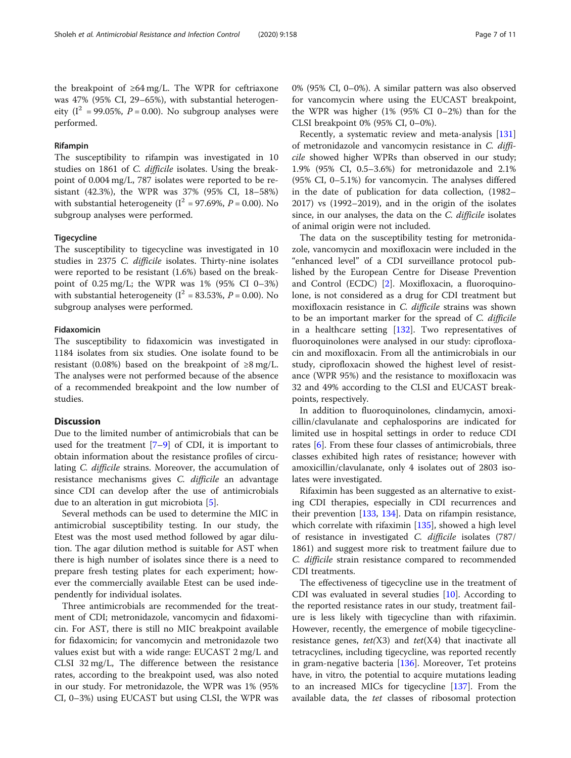the breakpoint of ≥64 mg/L. The WPR for ceftriaxone was 47% (95% CI, 29–65%), with substantial heterogeneity ( $I^2$  = 99.05%,  $P = 0.00$ ). No subgroup analyses were performed.

#### Rifampin

The susceptibility to rifampin was investigated in 10 studies on 1861 of C. difficile isolates. Using the breakpoint of 0.004 mg/L, 787 isolates were reported to be resistant (42.3%), the WPR was 37% (95% CI, 18–58%) with substantial heterogeneity ( $I^2 = 97.69\%$ ,  $P = 0.00$ ). No subgroup analyses were performed.

#### **Tigecycline**

The susceptibility to tigecycline was investigated in 10 studies in 2375 C. difficile isolates. Thirty-nine isolates were reported to be resistant (1.6%) based on the breakpoint of 0.25 mg/L; the WPR was 1% (95% CI 0–3%) with substantial heterogeneity ( $I^2 = 83.53\%$ ,  $P = 0.00$ ). No subgroup analyses were performed.

### Fidaxomicin

The susceptibility to fidaxomicin was investigated in 1184 isolates from six studies. One isolate found to be resistant (0.08%) based on the breakpoint of  $\geq 8$  mg/L. The analyses were not performed because of the absence of a recommended breakpoint and the low number of studies.

#### **Discussion**

Due to the limited number of antimicrobials that can be used for the treatment  $[7-9]$  $[7-9]$  $[7-9]$  of CDI, it is important to obtain information about the resistance profiles of circulating C. difficile strains. Moreover, the accumulation of resistance mechanisms gives C. difficile an advantage since CDI can develop after the use of antimicrobials due to an alteration in gut microbiota [[5\]](#page-7-0).

Several methods can be used to determine the MIC in antimicrobial susceptibility testing. In our study, the Etest was the most used method followed by agar dilution. The agar dilution method is suitable for AST when there is high number of isolates since there is a need to prepare fresh testing plates for each experiment; however the commercially available Etest can be used independently for individual isolates.

Three antimicrobials are recommended for the treatment of CDI; metronidazole, vancomycin and fidaxomicin. For AST, there is still no MIC breakpoint available for fidaxomicin; for vancomycin and metronidazole two values exist but with a wide range: EUCAST 2 mg/L and CLSI 32 mg/L, The difference between the resistance rates, according to the breakpoint used, was also noted in our study. For metronidazole, the WPR was 1% (95% CI, 0–3%) using EUCAST but using CLSI, the WPR was 0% (95% CI, 0–0%). A similar pattern was also observed for vancomycin where using the EUCAST breakpoint, the WPR was higher (1% (95% CI 0–2%) than for the CLSI breakpoint 0% (95% CI, 0–0%).

Recently, a systematic review and meta-analysis [[131](#page-10-0)] of metronidazole and vancomycin resistance in C. difficile showed higher WPRs than observed in our study; 1.9% (95% CI, 0.5–3.6%) for metronidazole and 2.1% (95% CI, 0–5.1%) for vancomycin. The analyses differed in the date of publication for data collection, (1982– 2017) vs (1992–2019), and in the origin of the isolates since, in our analyses, the data on the C. difficile isolates of animal origin were not included.

The data on the susceptibility testing for metronidazole, vancomycin and moxifloxacin were included in the "enhanced level" of a CDI surveillance protocol published by the European Centre for Disease Prevention and Control (ECDC) [[2\]](#page-7-0). Moxifloxacin, a fluoroquinolone, is not considered as a drug for CDI treatment but moxifloxacin resistance in C. difficile strains was shown to be an important marker for the spread of C. difficile in a healthcare setting [\[132\]](#page-10-0). Two representatives of fluoroquinolones were analysed in our study: ciprofloxacin and moxifloxacin. From all the antimicrobials in our study, ciprofloxacin showed the highest level of resistance (WPR 95%) and the resistance to moxifloxacin was 32 and 49% according to the CLSI and EUCAST breakpoints, respectively.

In addition to fluoroquinolones, clindamycin, amoxicillin/clavulanate and cephalosporins are indicated for limited use in hospital settings in order to reduce CDI rates [\[6](#page-7-0)]. From these four classes of antimicrobials, three classes exhibited high rates of resistance; however with amoxicillin/clavulanate, only 4 isolates out of 2803 isolates were investigated.

Rifaximin has been suggested as an alternative to existing CDI therapies, especially in CDI recurrences and their prevention [[133](#page-10-0), [134\]](#page-10-0). Data on rifampin resistance, which correlate with rifaximin [\[135\]](#page-10-0), showed a high level of resistance in investigated C. difficile isolates (787/ 1861) and suggest more risk to treatment failure due to C. difficile strain resistance compared to recommended CDI treatments.

The effectiveness of tigecycline use in the treatment of CDI was evaluated in several studies [\[10\]](#page-7-0). According to the reported resistance rates in our study, treatment failure is less likely with tigecycline than with rifaximin. However, recently, the emergence of mobile tigecyclineresistance genes,  $tet(X3)$  and  $tet(X4)$  that inactivate all tetracyclines, including tigecycline, was reported recently in gram-negative bacteria [\[136](#page-10-0)]. Moreover, Tet proteins have, in vitro, the potential to acquire mutations leading to an increased MICs for tigecycline [\[137\]](#page-10-0). From the available data, the tet classes of ribosomal protection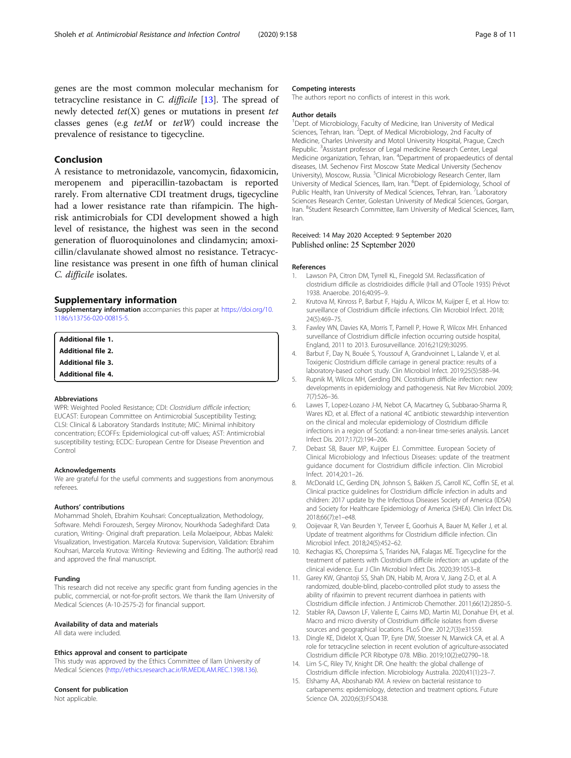<span id="page-7-0"></span>genes are the most common molecular mechanism for tetracycline resistance in C. difficile [13]. The spread of newly detected  $tet(X)$  genes or mutations in present tet classes genes (e.g tetM or tetW) could increase the prevalence of resistance to tigecycline.

# Conclusion

A resistance to metronidazole, vancomycin, fidaxomicin, meropenem and piperacillin-tazobactam is reported rarely. From alternative CDI treatment drugs, tigecycline had a lower resistance rate than rifampicin. The highrisk antimicrobials for CDI development showed a high level of resistance, the highest was seen in the second generation of fluoroquinolones and clindamycin; amoxicillin/clavulanate showed almost no resistance. Tetracycline resistance was present in one fifth of human clinical C. difficile isolates.

#### Supplementary information

Supplementary information accompanies this paper at [https://doi.org/10.](https://doi.org/10.1186/s13756-020-00815-5) [1186/s13756-020-00815-5](https://doi.org/10.1186/s13756-020-00815-5).

Additional file 1. Additional file 2. Additional file 3. Additional file 4.

#### Abbreviations

WPR: Weighted Pooled Resistance; CDI: Clostridium difficile infection; EUCAST: European Committee on Antimicrobial Susceptibility Testing; CLSI: Clinical & Laboratory Standards Institute; MIC: Minimal inhibitory concentration; ECOFFs: Epidemiological cut-off values; AST: Antimicrobial susceptibility testing; ECDC: European Centre for Disease Prevention and Control

#### Acknowledgements

We are grateful for the useful comments and suggestions from anonymous referees.

#### Authors' contributions

Mohammad Sholeh, Ebrahim Kouhsari: Conceptualization, Methodology, Software. Mehdi Forouzesh, Sergey Mironov, Nourkhoda Sadeghifard: Data curation, Writing- Original draft preparation. Leila Molaeipour, Abbas Maleki: Visualization, Investigation. Marcela Krutova: Supervision, Validation: Ebrahim Kouhsari, Marcela Krutova: Writing- Reviewing and Editing. The author(s) read and approved the final manuscript.

#### Funding

This research did not receive any specific grant from funding agencies in the public, commercial, or not-for-profit sectors. We thank the Ilam University of Medical Sciences (A-10-2575-2) for financial support.

#### Availability of data and materials

All data were included.

### Ethics approval and consent to participate

This study was approved by the Ethics Committee of Ilam University of Medical Sciences (<http://ethics.research.ac.ir/IR.MEDILAM.REC.1398.136>).

#### Consent for publication

Not applicable.

#### Competing interests

The authors report no conflicts of interest in this work.

#### Author details

<sup>1</sup> Dept. of Microbiology, Faculty of Medicine, Iran University of Medical Sciences, Tehran, Iran. <sup>2</sup>Dept. of Medical Microbiology, 2nd Faculty of Medicine, Charles University and Motol University Hospital, Prague, Czech Republic. <sup>3</sup>Assistant professor of Legal medicine Research Center, Legal Medicine organization, Tehran, Iran. <sup>4</sup>Department of propaedeutics of dental diseases, I.M. Sechenov First Moscow State Medical University (Sechenov University), Moscow, Russia. <sup>5</sup>Clinical Microbiology Research Center, Ilam University of Medical Sciences, Ilam, Iran. <sup>6</sup>Dept. of Epidemiology, School of Public Health, Iran University of Medical Sciences, Tehran, Iran. <sup>7</sup>Laboratory Sciences Research Center, Golestan University of Medical Sciences, Gorgan, Iran. <sup>8</sup>Student Research Committee, Ilam University of Medical Sciences, Ilam Iran.

#### Received: 14 May 2020 Accepted: 9 September 2020 Published online: 25 September 2020

#### References

- 1. Lawson PA, Citron DM, Tyrrell KL, Finegold SM. Reclassification of clostridium difficile as clostridioides difficile (Hall and O'Toole 1935) Prévot 1938. Anaerobe. 2016;40:95–9.
- 2. Krutova M, Kinross P, Barbut F, Hajdu A, Wilcox M, Kuijper E, et al. How to: surveillance of Clostridium difficile infections. Clin Microbiol Infect. 2018; 24(5):469–75.
- 3. Fawley WN, Davies KA, Morris T, Parnell P, Howe R, Wilcox MH. Enhanced surveillance of Clostridium difficile infection occurring outside hospital, England, 2011 to 2013. Eurosurveillance. 2016;21(29):30295.
- 4. Barbut F, Day N, Bouée S, Youssouf A, Grandvoinnet L, Lalande V, et al. Toxigenic Clostridium difficile carriage in general practice: results of a laboratory-based cohort study. Clin Microbiol Infect. 2019;25(5):588–94.
- 5. Rupnik M, Wilcox MH, Gerding DN. Clostridium difficile infection: new developments in epidemiology and pathogenesis. Nat Rev Microbiol. 2009; 7(7):526–36.
- 6. Lawes T, Lopez-Lozano J-M, Nebot CA, Macartney G, Subbarao-Sharma R, Wares KD, et al. Effect of a national 4C antibiotic stewardship intervention on the clinical and molecular epidemiology of Clostridium difficile infections in a region of Scotland: a non-linear time-series analysis. Lancet Infect Dis. 2017;17(2):194–206.
- 7. Debast SB, Bauer MP, Kuijper EJ. Committee. European Society of Clinical Microbiology and Infectious Diseases: update of the treatment guidance document for Clostridium difficile infection. Clin Microbiol Infect. 2014;20:1–26.
- 8. McDonald LC, Gerding DN, Johnson S, Bakken JS, Carroll KC, Coffin SE, et al. Clinical practice guidelines for Clostridium difficile infection in adults and children: 2017 update by the Infectious Diseases Society of America (IDSA) and Society for Healthcare Epidemiology of America (SHEA). Clin Infect Dis. 2018;66(7):e1–e48.
- 9. Ooijevaar R, Van Beurden Y, Terveer E, Goorhuis A, Bauer M, Keller J, et al. Update of treatment algorithms for Clostridium difficile infection. Clin Microbiol Infect. 2018;24(5):452–62.
- 10. Kechagias KS, Chorepsima S, Triarides NA, Falagas ME. Tigecycline for the treatment of patients with Clostridium difficile infection: an update of the clinical evidence. Eur J Clin Microbiol Infect Dis. 2020;39:1053–8.
- 11. Garey KW, Ghantoji SS, Shah DN, Habib M, Arora V, Jiang Z-D, et al. A randomized, double-blind, placebo-controlled pilot study to assess the ability of rifaximin to prevent recurrent diarrhoea in patients with Clostridium difficile infection. J Antimicrob Chemother. 2011;66(12):2850–5.
- 12. Stabler RA, Dawson LF, Valiente E, Cairns MD, Martin MJ, Donahue EH, et al. Macro and micro diversity of Clostridium difficile isolates from diverse sources and geographical locations. PLoS One. 2012;7(3):e31559.
- 13. Dingle KE, Didelot X, Quan TP, Eyre DW, Stoesser N, Marwick CA, et al. A role for tetracycline selection in recent evolution of agriculture-associated Clostridium difficile PCR Ribotype 078. MBio. 2019;10(2):e02790–18.
- 14. Lim S-C, Riley TV, Knight DR. One health: the global challenge of Clostridium difficile infection. Microbiology Australia. 2020;41(1):23–7.
- 15. Elshamy AA, Aboshanab KM. A review on bacterial resistance to carbapenems: epidemiology, detection and treatment options. Future Science OA. 2020;6(3):FSO438.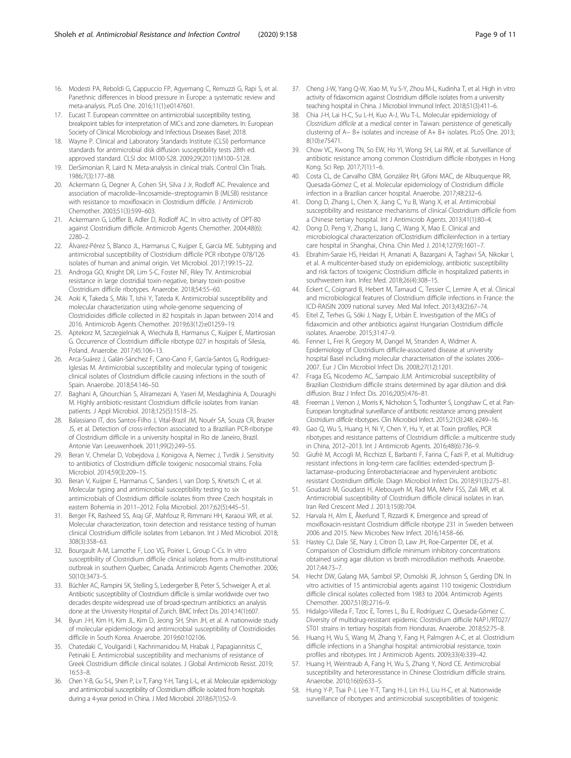- <span id="page-8-0"></span>16. Modesti PA, Reboldi G, Cappuccio FP, Agyemang C, Remuzzi G, Rapi S, et al. Panethnic differences in blood pressure in Europe: a systematic review and meta-analysis. PLoS One. 2016;11(1):e0147601.
- 17. Eucast T. European committee on antimicrobial susceptibility testing, breakpoint tables for interpretation of MICs and zone diameters. In: European Society of Clinical Microbiology and Infectious Diseases Basel; 2018.
- Wayne P. Clinical and Laboratory Standards Institute (CLSI) performance standards for antimicrobial disk diffusion susceptibility tests 28th ed. approved standard. CLSI doc M100-S28. 2009;29(2011):M100–S128.
- 19. DerSimonian R, Laird N. Meta-analysis in clinical trials. Control Clin Trials. 1986;7(3):177–88.
- 20. Ackermann G, Degner A, Cohen SH, Silva J Jr, Rodloff AC. Prevalence and association of macrolide–lincosamide–streptogramin B (MLSB) resistance with resistance to moxifloxacin in Clostridium difficile. J Antimicrob Chemother. 2003;51(3):599–603.
- 21. Ackermann G, Löffler B, Adler D, Rodloff AC. In vitro activity of OPT-80 against Clostridium difficile. Antimicrob Agents Chemother. 2004;48(6): 2280–2.
- 22. Álvarez-Pérez S, Blanco JL, Harmanus C, Kuijper E, García ME. Subtyping and antimicrobial susceptibility of Clostridium difficile PCR ribotype 078/126 isolates of human and animal origin. Vet Microbiol. 2017;199:15–22.
- 23. Androga GO, Knight DR, Lim S-C, Foster NF, Riley TV. Antimicrobial resistance in large clostridial toxin-negative, binary toxin-positive Clostridium difficile ribotypes. Anaerobe. 2018;54:55–60.
- 24. Aoki K, Takeda S, Miki T, Ishii Y, Tateda K. Antimicrobial susceptibility and molecular characterization using whole-genome sequencing of Clostridioides difficile collected in 82 hospitals in Japan between 2014 and 2016. Antimicrob Agents Chemother. 2019;63(12):e01259–19.
- 25. Aptekorz M, Szczegielniak A, Wiechuła B, Harmanus C, Kuijper E, Martirosian G. Occurrence of Clostridium difficile ribotype 027 in hospitals of Silesia, Poland. Anaerobe. 2017;45:106–13.
- 26. Arca-Suárez J, Galán-Sánchez F, Cano-Cano F, García-Santos G, Rodríguez-Iglesias M. Antimicrobial susceptibility and molecular typing of toxigenic clinical isolates of Clostridium difficile causing infections in the south of Spain. Anaerobe. 2018;54:146–50.
- 27. Baghani A, Ghourchian S, Aliramezani A, Yaseri M, Mesdaghinia A, Douraghi M. Highly antibiotic-resistant Clostridium difficile isolates from Iranian patients. J Appl Microbiol. 2018;125(5):1518–25.
- 28. Balassiano IT, dos Santos-Filho J, Vital-Brazil JM, Nouér SA, Souza CR, Brazier JS, et al. Detection of cross-infection associated to a Brazilian PCR-ribotype of Clostridium difficile in a university hospital in Rio de Janeiro, Brazil. Antonie Van Leeuwenhoek. 2011;99(2):249–55.
- 29. Beran V, Chmelar D, Vobejdova J, Konigova A, Nemec J, Tvrdik J. Sensitivity to antibiotics of Clostridium difficile toxigenic nosocomial strains. Folia Microbiol. 2014;59(3):209–15.
- 30. Beran V, Kuijper E, Harmanus C, Sanders I, van Dorp S, Knetsch C, et al. Molecular typing and antimicrobial susceptibility testing to six antimicrobials of Clostridium difficile isolates from three Czech hospitals in eastern Bohemia in 2011–2012. Folia Microbiol. 2017;62(5):445–51.
- 31. Berger FK, Rasheed SS, Araj GF, Mahfouz R, Rimmani HH, Karaoui WR, et al. Molecular characterization, toxin detection and resistance testing of human clinical Clostridium difficile isolates from Lebanon. Int J Med Microbiol. 2018; 308(3):358–63.
- 32. Bourgault A-M, Lamothe F, Loo VG, Poirier L. Group C-Cs. In vitro susceptibility of Clostridium difficile clinical isolates from a multi-institutional outbreak in southern Quebec, Canada. Antimicrob Agents Chemother. 2006; 50(10):3473–5.
- 33. Büchler AC, Rampini SK, Stelling S, Ledergerber B, Peter S, Schweiger A, et al. Antibiotic susceptibility of Clostridium difficile is similar worldwide over two decades despite widespread use of broad-spectrum antibiotics: an analysis done at the University Hospital of Zurich. BMC Infect Dis. 2014;14(1):607.
- 34. Byun J-H, Kim H, Kim JL, Kim D, Jeong SH, Shin JH, et al. A nationwide study of molecular epidemiology and antimicrobial susceptibility of Clostridioides difficile in South Korea. Anaerobe. 2019;60:102106.
- 35. Chatedaki C, Voulgaridi I, Kachrimanidou M, Hrabak J, Papagiannitsis C, Petinaki E. Antimicrobial susceptibility and mechanisms of resistance of Greek Clostridium difficile clinical isolates. J Global Antimicrob Resist. 2019; 16:53–8.
- 36. Chen Y-B, Gu S-L, Shen P, Lv T, Fang Y-H, Tang L-L, et al. Molecular epidemiology and antimicrobial susceptibility of Clostridium difficile isolated from hospitals during a 4-year period in China. J Med Microbiol. 2018;67(1):52–9.
- 37. Cheng J-W, Yang Q-W, Xiao M, Yu S-Y, Zhou M-L, Kudinha T, et al. High in vitro activity of fidaxomicin against Clostridium difficile isolates from a university teaching hospital in China. J Microbiol Immunol Infect. 2018;51(3):411–6.
- 38. Chia J-H, Lai H-C, Su L-H, Kuo A-J, Wu T-L. Molecular epidemiology of Clostridium difficile at a medical center in Taiwan: persistence of genetically clustering of A− B+ isolates and increase of A+ B+ isolates. PLoS One. 2013; 8(10):e75471.
- 39. Chow VC, Kwong TN, So EW, Ho YI, Wong SH, Lai RW, et al. Surveillance of antibiotic resistance among common Clostridium difficile ribotypes in Hong Kong. Sci Rep. 2017;7(1):1–6.
- 40. Costa CL, de Carvalho CBM, González RH, Gifoni MAC, de Albuquerque RR, Quesada-Gómez C, et al. Molecular epidemiology of Clostridium difficile infection in a Brazilian cancer hospital. Anaerobe. 2017;48:232–6.
- 41. Dong D, Zhang L, Chen X, Jiang C, Yu B, Wang X, et al. Antimicrobial susceptibility and resistance mechanisms of clinical Clostridium difficile from a Chinese tertiary hospital. Int J Antimicrob Agents. 2013;41(1):80–4.
- 42. Dong D, Peng Y, Zhang L, Jiang C, Wang X, Mao E. Clinical and microbiological characterization ofClostridium difficileinfection in a tertiary care hospital in Shanghai, China. Chin Med J. 2014;127(9):1601–7.
- 43. Ebrahim-Saraie HS, Heidari H, Amanati A, Bazargani A, Taghavi SA, Nikokar I, et al. A multicenter-based study on epidemiology, antibiotic susceptibility and risk factors of toxigenic Clostridium difficile in hospitalized patients in southwestern Iran. Infez Med. 2018;26(4):308–15.
- 44. Eckert C, Coignard B, Hebert M, Tarnaud C, Tessier C, Lemire A, et al. Clinical and microbiological features of Clostridium difficile infections in France: the ICD-RAISIN 2009 national survey. Med Mal Infect. 2013;43(2):67–74.
- 45. Eitel Z, Terhes G, Sóki J, Nagy E, Urbán E. Investigation of the MICs of fidaxomicin and other antibiotics against Hungarian Clostridium difficile isolates. Anaerobe. 2015;31:47–9.
- 46. Fenner L, Frei R, Gregory M, Dangel M, Stranden A, Widmer A. Epidemiology of Clostridium difficile-associated disease at university hospital Basel including molecular characterisation of the isolates 2006– 2007. Eur J Clin Microbiol Infect Dis. 2008;27(12):1201.
- 47. Fraga EG, Nicodemo AC, Sampaio JLM. Antimicrobial susceptibility of Brazilian Clostridium difficile strains determined by agar dilution and disk diffusion. Braz J Infect Dis. 2016;20(5):476–81.
- 48. Freeman J, Vernon J, Morris K, Nicholson S, Todhunter S, Longshaw C, et al. Pan-European longitudinal surveillance of antibiotic resistance among prevalent Clostridium difficile ribotypes. Clin Microbiol Infect. 2015;21(3):248. e249–16.
- 49. Gao Q, Wu S, Huang H, Ni Y, Chen Y, Hu Y, et al. Toxin profiles, PCR ribotypes and resistance patterns of Clostridium difficile: a multicentre study in China, 2012–2013. Int J Antimicrob Agents. 2016;48(6):736–9.
- 50. Giufrè M, Accogli M, Ricchizzi E, Barbanti F, Farina C, Fazii P, et al. Multidrugresistant infections in long-term care facilities: extended-spectrum βlactamase–producing Enterobacteriaceae and hypervirulent antibiotic resistant Clostridium difficile. Diagn Microbiol Infect Dis. 2018;91(3):275–81.
- 51. Goudarzi M, Goudarzi H, Alebouyeh M, Rad MA, Mehr FSS, Zali MR, et al. Antimicrobial susceptibility of Clostridium difficile clinical isolates in Iran. Iran Red Crescent Med J. 2013;15(8):704.
- 52. Harvala H, Alm E, Åkerlund T, Rizzardi K. Emergence and spread of moxifloxacin-resistant Clostridium difficile ribotype 231 in Sweden between 2006 and 2015. New Microbes New Infect. 2016;14:58–66.
- 53. Hastey CJ, Dale SE, Nary J, Citron D, Law JH, Roe-Carpenter DE, et al. Comparison of Clostridium difficile minimum inhibitory concentrations obtained using agar dilution vs broth microdilution methods. Anaerobe. 2017;44:73–7.
- 54. Hecht DW, Galang MA, Sambol SP, Osmolski JR, Johnson S, Gerding DN. In vitro activities of 15 antimicrobial agents against 110 toxigenic Clostridium difficile clinical isolates collected from 1983 to 2004. Antimicrob Agents Chemother. 2007;51(8):2716–9.
- 55. Hidalgo-Villeda F, Tzoc E, Torres L, Bu E, Rodríguez C, Quesada-Gómez C. Diversity of multidrug-resistant epidemic Clostridium difficile NAP1/RT027/ ST01 strains in tertiary hospitals from Honduras. Anaerobe. 2018;52:75–8.
- 56. Huang H, Wu S, Wang M, Zhang Y, Fang H, Palmgren A-C, et al. Clostridium difficile infections in a Shanghai hospital: antimicrobial resistance, toxin profiles and ribotypes. Int J Antimicrob Agents. 2009;33(4):339–42.
- 57. Huang H, Weintraub A, Fang H, Wu S, Zhang Y, Nord CE. Antimicrobial susceptibility and heteroresistance in Chinese Clostridium difficile strains. Anaerobe. 2010;16(6):633–5.
- 58. Hung Y-P, Tsai P-J, Lee Y-T, Tang H-J, Lin H-J, Liu H-C, et al. Nationwide surveillance of ribotypes and antimicrobial susceptibilities of toxigenic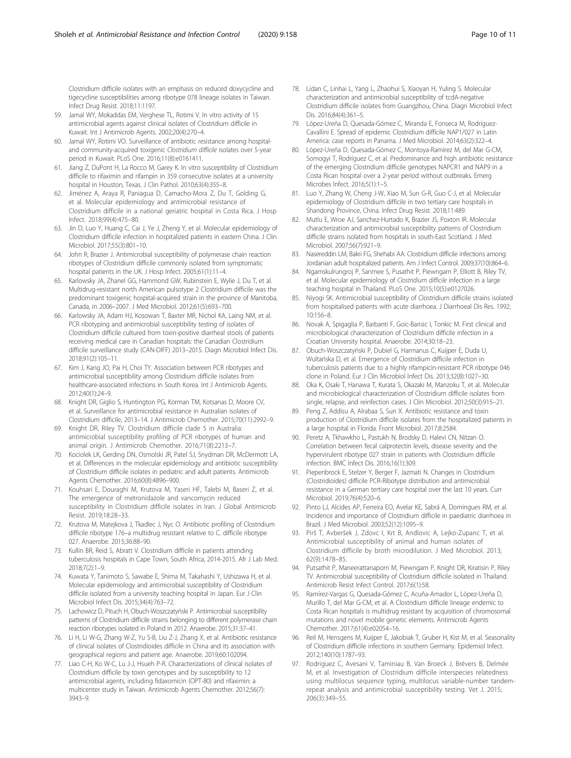Clostridium difficile isolates with an emphasis on reduced doxycycline and tigecycline susceptibilities among ribotype 078 lineage isolates in Taiwan. Infect Drug Resist. 2018;11:1197.

- 59. Jamal WY, Mokaddas EM, Verghese TL, Rotimi V. In vitro activity of 15 antimicrobial agents against clinical isolates of Clostridium difficile in Kuwait. Int J Antimicrob Agents. 2002;20(4):270–4.
- 60. Jamal WY, Rotimi VO. Surveillance of antibiotic resistance among hospitaland community-acquired toxigenic Clostridium difficile isolates over 5-year period in Kuwait. PLoS One. 2016;11(8):e0161411.
- 61. Jiang Z, DuPont H, La Rocco M, Garey K. In vitro susceptibility of Clostridium difficile to rifaximin and rifampin in 359 consecutive isolates at a university hospital in Houston, Texas. J Clin Pathol. 2010;63(4):355–8.
- 62. Jiménez A, Araya R, Paniagua D, Camacho-Mora Z, Du T, Golding G, et al. Molecular epidemiology and antimicrobial resistance of Clostridium difficile in a national geriatric hospital in Costa Rica. J Hosp Infect. 2018;99(4):475–80.
- 63. Jin D, Luo Y, Huang C, Cai J, Ye J, Zheng Y, et al. Molecular epidemiology of Clostridium difficile infection in hospitalized patients in eastern China. J Clin Microbiol. 2017;55(3):801–10.
- 64. John R, Brazier J. Antimicrobial susceptibility of polymerase chain reaction ribotypes of Clostridium difficile commonly isolated from symptomatic hospital patients in the UK. J Hosp Infect. 2005;61(1):11–4.
- 65. Karlowsky JA, Zhanel GG, Hammond GW, Rubinstein E, Wylie J, Du T, et al. Multidrug-resistant north American pulsotype 2 Clostridium difficile was the predominant toxigenic hospital-acquired strain in the province of Manitoba, Canada, in 2006–2007. J Med Microbiol. 2012;61(5):693–700.
- 66. Karlowsky JA, Adam HJ, Kosowan T, Baxter MR, Nichol KA, Laing NM, et al. PCR ribotyping and antimicrobial susceptibility testing of isolates of Clostridium difficile cultured from toxin-positive diarrheal stools of patients receiving medical care in Canadian hospitals: the Canadian Clostridium difficile surveillance study (CAN-DIFF) 2013–2015. Diagn Microbiol Infect Dis. 2018;91(2):105–11.
- 67. Kim J, Kang JO, Pai H, Choi TY. Association between PCR ribotypes and antimicrobial susceptibility among Clostridium difficile isolates from healthcare-associated infections in South Korea. Int J Antimicrob Agents. 2012;40(1):24–9.
- 68. Knight DR, Giglio S, Huntington PG, Korman TM, Kotsanas D, Moore CV, et al. Surveillance for antimicrobial resistance in Australian isolates of Clostridium difficile, 2013–14. J Antimicrob Chemother. 2015;70(11):2992–9.
- 69. Knight DR, Riley TV. Clostridium difficile clade 5 in Australia: antimicrobial susceptibility profiling of PCR ribotypes of human and animal origin. J Antimicrob Chemother. 2016;71(8):2213–7.
- 70. Kociolek LK, Gerding DN, Osmolski JR, Patel SJ, Snydman DR, McDermott LA, et al. Differences in the molecular epidemiology and antibiotic susceptibility of Clostridium difficile isolates in pediatric and adult patients. Antimicrob Agents Chemother. 2016;60(8):4896–900.
- 71. Kouhsari E, Douraghi M, Krutova M, Yaseri HF, Talebi M, Baseri Z, et al. The emergence of metronidazole and vancomycin reduced susceptibility in Clostridium difficile isolates in Iran. J Global Antimicrob Resist. 2019;18:28–33.
- 72. Krutova M, Matejkova J, Tkadlec J, Nyc O. Antibiotic profiling of Clostridium difficile ribotype 176–a multidrug resistant relative to C. difficile ribotype 027. Anaerobe. 2015;36:88–90.
- 73. Kullin BR, Reid S, Abratt V. Clostridium difficile in patients attending tuberculosis hospitals in Cape Town, South Africa, 2014-2015. Afr J Lab Med. 2018;7(2):1–9.
- 74. Kuwata Y, Tanimoto S, Sawabe E, Shima M, Takahashi Y, Ushizawa H, et al. Molecular epidemiology and antimicrobial susceptibility of Clostridium difficile isolated from a university teaching hospital in Japan. Eur J Clin Microbiol Infect Dis. 2015;34(4):763–72.
- 75. Lachowicz D, Pituch H, Obuch-Woszczatyński P. Antimicrobial susceptibility patterns of Clostridium difficile strains belonging to different polymerase chain reaction ribotypes isolated in Poland in 2012. Anaerobe. 2015;31:37–41.
- 76. Li H, Li W-G, Zhang W-Z, Yu S-B, Liu Z-J, Zhang X, et al. Antibiotic resistance of clinical isolates of Clostridioides difficile in China and its association with geographical regions and patient age. Anaerobe. 2019;60:102094.
- 77. Liao C-H, Ko W-C, Lu J-J, Hsueh P-R. Characterizations of clinical isolates of Clostridium difficile by toxin genotypes and by susceptibility to 12 antimicrobial agents, including fidaxomicin (OPT-80) and rifaximin: a multicenter study in Taiwan. Antimicrob Agents Chemother. 2012;56(7): 3943–9.
- 78. Lidan C, Linhai L, Yang L, Zhaohui S, Xiaoyan H, Yuling S. Molecular characterization and antimicrobial susceptibility of tcdA-negative Clostridium difficile isolates from Guangzhou, China. Diagn Microbiol Infect Dis. 2016;84(4):361–5.
- 79. López-Ureña D, Quesada-Gómez C, Miranda E, Fonseca M, Rodríguez-Cavallini E. Spread of epidemic Clostridium difficile NAP1/027 in Latin America: case reports in Panama. J Med Microbiol. 2014;63(2):322–4.
- 80. López-Ureña D, Quesada-Gómez C, Montoya-Ramírez M, del Mar G-CM, Somogyi T, Rodríguez C, et al. Predominance and high antibiotic resistance of the emerging Clostridium difficile genotypes NAPCR1 and NAP9 in a Costa Rican hospital over a 2-year period without outbreaks. Emerg Microbes Infect. 2016;5(1):1–5.
- 81. Luo Y, Zhang W, Cheng J-W, Xiao M, Sun G-R, Guo C-J, et al. Molecular epidemiology of Clostridium difficile in two tertiary care hospitals in Shandong Province, China. Infect Drug Resist. 2018;11:489.
- 82. Mutlu E, Wroe AJ, Sanchez-Hurtado K, Brazier JS, Poxton IR. Molecular characterization and antimicrobial susceptibility patterns of Clostridium difficile strains isolated from hospitals in south-East Scotland. J Med Microbiol. 2007;56(7):921–9.
- 83. Nasereddin LM, Bakri FG, Shehabi AA. Clostridium difficile infections among Jordanian adult hospitalized patients. Am J Infect Control. 2009;37(10):864–6.
- 84. Ngamskulrungroj P, Sanmee S, Pusathit P, Piewngam P, Elliott B, Riley TV, et al. Molecular epidemiology of Clostridium difficile infection in a large teaching hospital in Thailand. PLoS One. 2015;10(5):e0127026.
- 85. Niyogi SK. Antimicrobial susceptibility of Clostridium difficile strains isolated from hospitalised patients with acute diarrhoea. J Diarrhoeal Dis Res. 1992; 10:156–8.
- 86. Novak A, Spigaglia P, Barbanti F, Goic-Barisic I, Tonkic M. First clinical and microbiological characterization of Clostridium difficile infection in a Croatian University hospital. Anaerobe. 2014;30:18–23.
- 87. Obuch-Woszczatyński P, Dubiel G, Harmanus C, Kuijper E, Duda U, Wultańska D, et al. Emergence of Clostridium difficile infection in tuberculosis patients due to a highly rifampicin-resistant PCR ribotype 046 clone in Poland. Eur J Clin Microbiol Infect Dis. 2013;32(8):1027–30.
- 88. Oka K, Osaki T, Hanawa T, Kurata S, Okazaki M, Manzoku T, et al. Molecular and microbiological characterization of Clostridium difficile isolates from single, relapse, and reinfection cases. J Clin Microbiol. 2012;50(3):915–21.
- 89. Peng Z, Addisu A, Alrabaa S, Sun X. Antibiotic resistance and toxin production of Clostridium difficile isolates from the hospitalized patients in a large hospital in Florida. Front Microbiol. 2017;8:2584.
- 90. Peretz A, Tkhawkho L, Pastukh N, Brodsky D, Halevi CN, Nitzan O. Correlation between fecal calprotectin levels, disease severity and the hypervirulent ribotype 027 strain in patients with Clostridium difficile infection. BMC Infect Dis. 2016;16(1):309.
- 91. Piepenbrock E, Stelzer Y, Berger F, Jazmati N. Changes in Clostridium (Clostridioides) difficile PCR-Ribotype distribution and antimicrobial resistance in a German tertiary care hospital over the last 10 years. Curr Microbiol. 2019;76(4):520–6.
- 92. Pinto LJ, Alcides AP, Ferreira EO, Avelar KE, Sabrá A, Domingues RM, et al. Incidence and importance of Clostridium difficile in paediatric diarrhoea in Brazil. J Med Microbiol. 2003;52(12):1095–9.
- 93. Pirš T, Avberšek J, Zdovc I, Krt B, Andlovic A, Lejko-Zupanc T, et al. Antimicrobial susceptibility of animal and human isolates of Clostridium difficile by broth microdilution. J Med Microbiol. 2013; 62(9):1478–85.
- 94. Putsathit P, Maneerattanaporn M, Piewngam P, Knight DR, Kiratisin P, Riley TV. Antimicrobial susceptibility of Clostridium difficile isolated in Thailand. Antimicrob Resist Infect Control. 2017;6(1):58.
- 95. Ramírez-Vargas G, Quesada-Gómez C, Acuña-Amador L, López-Ureña D, Murillo T, del Mar G-CM, et al. A Clostridium difficile lineage endemic to Costa Rican hospitals is multidrug resistant by acquisition of chromosomal mutations and novel mobile genetic elements. Antimicrob Agents Chemother. 2017;61(4):e02054–16.
- 96. Reil M, Hensgens M, Kuijper E, Jakobiak T, Gruber H, Kist M, et al. Seasonality of Clostridium difficile infections in southern Germany. Epidemiol Infect. 2012;140(10):1787–93.
- 97. Rodriguez C, Avesani V, Taminiau B, Van Broeck J, Brévers B, Delmée M, et al. Investigation of Clostridium difficile interspecies relatedness using multilocus sequence typing, multilocus variable-number tandemrepeat analysis and antimicrobial susceptibility testing. Vet J. 2015; 206(3):349–55.